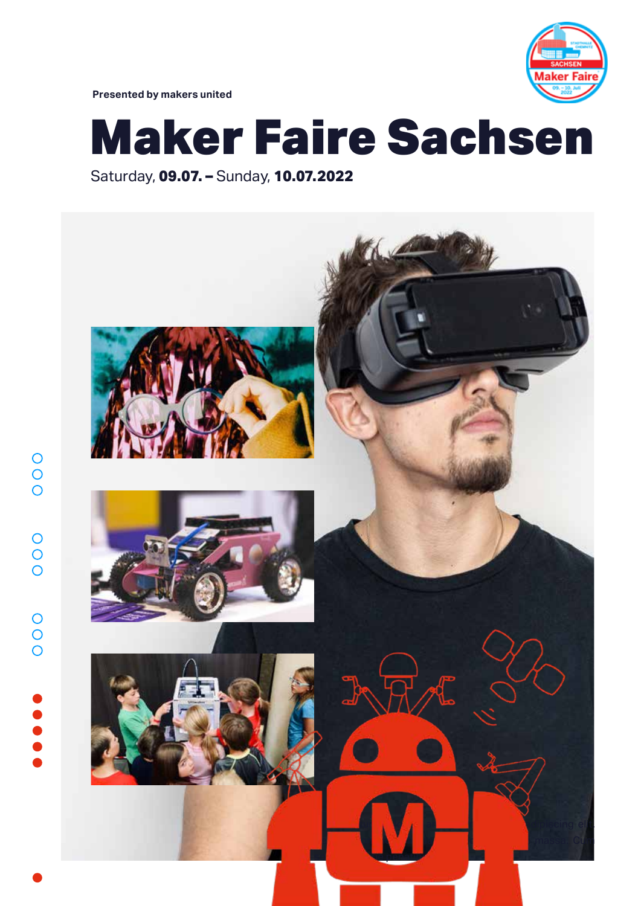

**Presented by makers united**

 $\begin{array}{c}\n0 \\
0\n\end{array}$ 

 $\circ$ 

 $\overline{O}$ 

 $\begin{array}{c}\n0 \\
0\n\end{array}$ 

# Maker Faire Sachsen

Saturday, **09.07. –** Sunday, **10.07.2022**